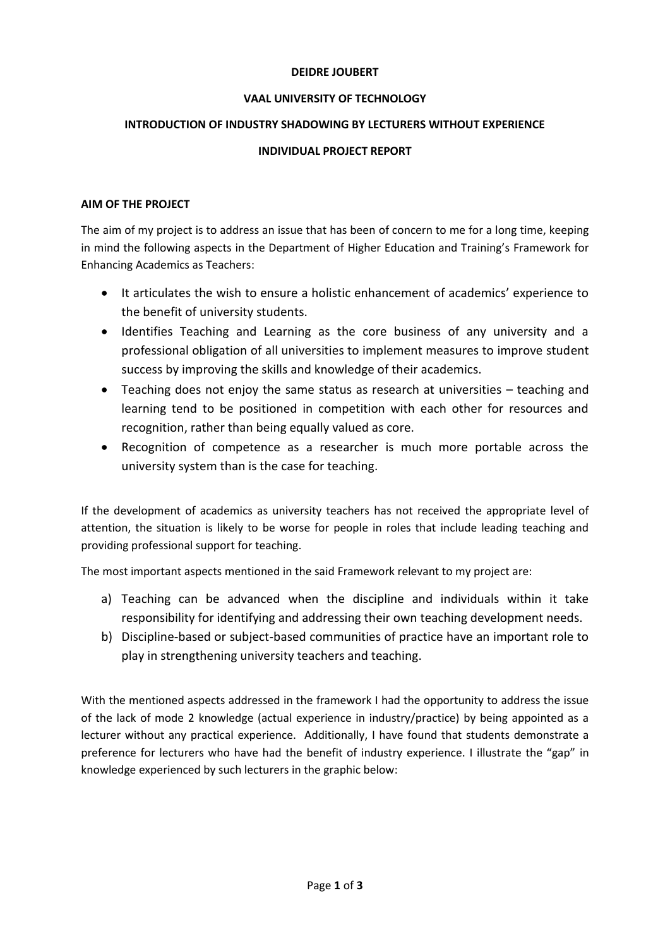## **DEIDRE JOUBERT**

# **VAAL UNIVERSITY OF TECHNOLOGY**

## **INTRODUCTION OF INDUSTRY SHADOWING BY LECTURERS WITHOUT EXPERIENCE**

### **INDIVIDUAL PROJECT REPORT**

#### **AIM OF THE PROJECT**

The aim of my project is to address an issue that has been of concern to me for a long time, keeping in mind the following aspects in the Department of Higher Education and Training's Framework for Enhancing Academics as Teachers:

- It articulates the wish to ensure a holistic enhancement of academics' experience to the benefit of university students.
- Identifies Teaching and Learning as the core business of any university and a professional obligation of all universities to implement measures to improve student success by improving the skills and knowledge of their academics.
- Teaching does not enjoy the same status as research at universities teaching and learning tend to be positioned in competition with each other for resources and recognition, rather than being equally valued as core.
- Recognition of competence as a researcher is much more portable across the university system than is the case for teaching.

If the development of academics as university teachers has not received the appropriate level of attention, the situation is likely to be worse for people in roles that include leading teaching and providing professional support for teaching.

The most important aspects mentioned in the said Framework relevant to my project are:

- a) Teaching can be advanced when the discipline and individuals within it take responsibility for identifying and addressing their own teaching development needs.
- b) Discipline-based or subject-based communities of practice have an important role to play in strengthening university teachers and teaching.

With the mentioned aspects addressed in the framework I had the opportunity to address the issue of the lack of mode 2 knowledge (actual experience in industry/practice) by being appointed as a lecturer without any practical experience. Additionally, I have found that students demonstrate a preference for lecturers who have had the benefit of industry experience. I illustrate the "gap" in knowledge experienced by such lecturers in the graphic below: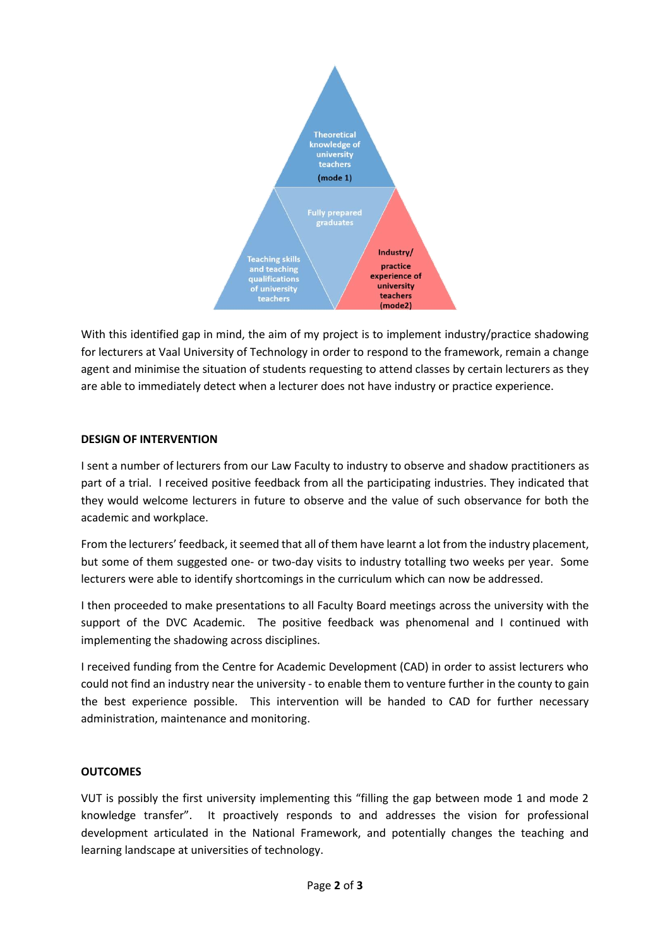

With this identified gap in mind, the aim of my project is to implement industry/practice shadowing for lecturers at Vaal University of Technology in order to respond to the framework, remain a change agent and minimise the situation of students requesting to attend classes by certain lecturers as they are able to immediately detect when a lecturer does not have industry or practice experience.

### **DESIGN OF INTERVENTION**

I sent a number of lecturers from our Law Faculty to industry to observe and shadow practitioners as part of a trial. I received positive feedback from all the participating industries. They indicated that they would welcome lecturers in future to observe and the value of such observance for both the academic and workplace.

From the lecturers' feedback, it seemed that all of them have learnt a lot from the industry placement, but some of them suggested one- or two-day visits to industry totalling two weeks per year. Some lecturers were able to identify shortcomings in the curriculum which can now be addressed.

I then proceeded to make presentations to all Faculty Board meetings across the university with the support of the DVC Academic. The positive feedback was phenomenal and I continued with implementing the shadowing across disciplines.

I received funding from the Centre for Academic Development (CAD) in order to assist lecturers who could not find an industry near the university - to enable them to venture further in the county to gain the best experience possible. This intervention will be handed to CAD for further necessary administration, maintenance and monitoring.

#### **OUTCOMES**

VUT is possibly the first university implementing this "filling the gap between mode 1 and mode 2 knowledge transfer". It proactively responds to and addresses the vision for professional development articulated in the National Framework, and potentially changes the teaching and learning landscape at universities of technology.